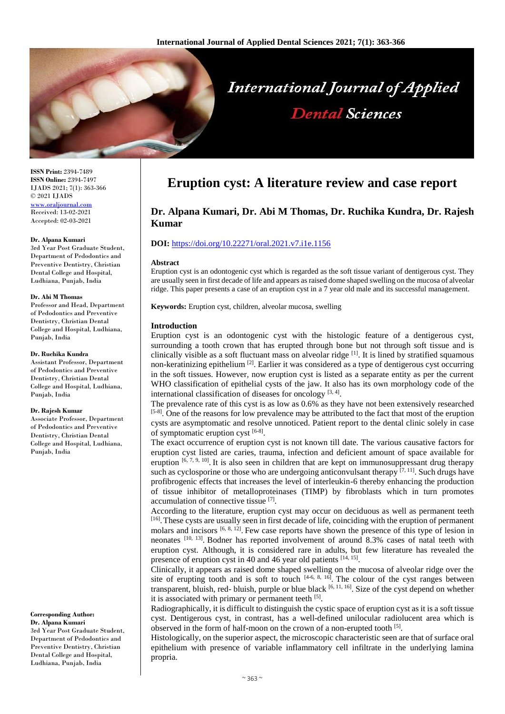

**ISSN Print:** 2394-7489 **ISSN Online:** 2394-7497 IJADS 2021; 7(1): 363-366 © 2021 IJADS [www.oraljournal.com](http://www.oraljournal.com/) Received: 13-02-2021 Accepted: 02-03-2021

#### **Dr. Alpana Kumari**

3rd Year Post Graduate Student, Department of Pedodontics and Preventive Dentistry, Christian Dental College and Hospital, Ludhiana, Punjab, India

#### **Dr. Abi M Thomas**

Professor and Head, Department of Pedodontics and Preventive Dentistry, Christian Dental College and Hospital, Ludhiana, Punjab, India

#### **Dr. Ruchika Kundra**

Assistant Professor, Department of Pedodontics and Preventive Dentistry, Christian Dental College and Hospital, Ludhiana, Punjab, India

#### **Dr. Rajesh Kumar**

Associate Professor, Department of Pedodontics and Preventive Dentistry, Christian Dental College and Hospital, Ludhiana, Punjab, India

#### **Corresponding Author: Dr. Alpana Kumari**

3rd Year Post Graduate Student, Department of Pedodontics and Preventive Dentistry, Christian Dental College and Hospital, Ludhiana, Punjab, India

# **Eruption cyst: A literature review and case report**

# **Dr. Alpana Kumari, Dr. Abi M Thomas, Dr. Ruchika Kundra, Dr. Rajesh Kumar**

# **DOI:** <https://doi.org/10.22271/oral.2021.v7.i1e.1156>

## **Abstract**

Eruption cyst is an odontogenic cyst which is regarded as the soft tissue variant of dentigerous cyst. They are usually seen in first decade of life and appears as raised dome shaped swelling on the mucosa of alveolar ridge. This paper presents a case of an eruption cyst in a 7 year old male and its successful management.

**Keywords:** Eruption cyst, children, alveolar mucosa, swelling

## **Introduction**

Eruption cyst is an odontogenic cyst with the histologic feature of a dentigerous cyst, surrounding a tooth crown that has erupted through bone but not through soft tissue and is clinically visible as a soft fluctuant mass on alveolar ridge  $^{[1]}$ . It is lined by stratified squamous non-keratinizing epithelium<sup>[2]</sup>. Earlier it was considered as a type of dentigerous cyst occurring in the soft tissues. However, now eruption cyst is listed as a separate entity as per the current WHO classification of epithelial cysts of the jaw. It also has its own morphology code of the international classification of diseases for oncology  $[3, 4]$ .

The prevalence rate of this cyst is as low as 0.6% as they have not been extensively researched [5-8]. One of the reasons for low prevalence may be attributed to the fact that most of the eruption cysts are asymptomatic and resolve unnoticed. Patient report to the dental clinic solely in case of symptomatic eruption cyst  $[6-8]$ .

The exact occurrence of eruption cyst is not known till date. The various causative factors for eruption cyst listed are caries, trauma, infection and deficient amount of space available for eruption  $[6, 7, 9, 10]$ . It is also seen in children that are kept on immunosuppressant drug therapy such as cyclosporine or those who are undergoing anticonvulsant therapy  $[7, 11]$ . Such drugs have profibrogenic effects that increases the level of interleukin-6 thereby enhancing the production of tissue inhibitor of metalloproteinases (TIMP) by fibroblasts which in turn promotes accumulation of connective tissue [7].

According to the literature, eruption cyst may occur on deciduous as well as permanent teeth [16]. These cysts are usually seen in first decade of life, coinciding with the eruption of permanent molars and incisors  $[6, 8, 12]$ . Few case reports have shown the presence of this type of lesion in neonates [10, 13]. Bodner has reported involvement of around 8.3% cases of natal teeth with eruption cyst. Although, it is considered rare in adults, but few literature has revealed the presence of eruption cyst in 40 and 46 year old patients [14, 15].

Clinically, it appears as raised dome shaped swelling on the mucosa of alveolar ridge over the site of erupting tooth and is soft to touch  $[4-6, 8, 16]$ . The colour of the cyst ranges between transparent, bluish, red- bluish, purple or blue black [6, 11, 16]. Size of the cyst depend on whether it is associated with primary or permanent teeth [5].

Radiographically, it is difficult to distinguish the cystic space of eruption cyst as it is a soft tissue cyst. Dentigerous cyst, in contrast, has a well-defined unilocular radiolucent area which is observed in the form of half-moon on the crown of a non-erupted tooth [5].

Histologically, on the superior aspect, the microscopic characteristic seen are that of surface oral epithelium with presence of variable inflammatory cell infiltrate in the underlying lamina propria.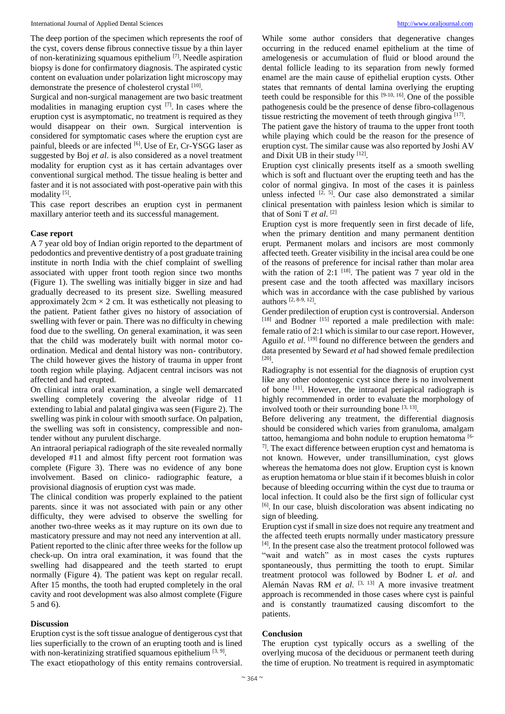The deep portion of the specimen which represents the roof of the cyst, covers dense fibrous connective tissue by a thin layer of non-keratinizing squamous epithelium<sup>[7]</sup>. Needle aspiration biopsy is done for confirmatory diagnosis. The aspirated cystic content on evaluation under polarization light microscopy may demonstrate the presence of cholesterol crystal [10].

Surgical and non-surgical management are two basic treatment modalities in managing eruption cyst  $[7]$ . In cases where the eruption cyst is asymptomatic, no treatment is required as they would disappear on their own. Surgical intervention is considered for symptomatic cases where the eruption cyst are painful, bleeds or are infected [6]. Use of Er, Cr-YSGG laser as suggested by Boj *et al*. is also considered as a novel treatment modality for eruption cyst as it has certain advantages over conventional surgical method. The tissue healing is better and faster and it is not associated with post-operative pain with this modality<sup>[5]</sup>.

This case report describes an eruption cyst in permanent maxillary anterior teeth and its successful management.

## **Case report**

A 7 year old boy of Indian origin reported to the department of pedodontics and preventive dentistry of a post graduate training institute in north India with the chief complaint of swelling associated with upper front tooth region since two months (Figure 1). The swelling was initially bigger in size and had gradually decreased to its present size. Swelling measured approximately  $2 \text{cm} \times 2 \text{cm}$ . It was esthetically not pleasing to the patient. Patient father gives no history of association of swelling with fever or pain. There was no difficulty in chewing food due to the swelling. On general examination, it was seen that the child was moderately built with normal motor coordination. Medical and dental history was non- contributory. The child however gives the history of trauma in upper front tooth region while playing. Adjacent central incisors was not affected and had erupted.

On clinical intra oral examination, a single well demarcated swelling completely covering the alveolar ridge of 11 extending to labial and palatal gingiva was seen (Figure 2). The swelling was pink in colour with smooth surface. On palpation, the swelling was soft in consistency, compressible and nontender without any purulent discharge.

An intraoral periapical radiograph of the site revealed normally developed #11 and almost fifty percent root formation was complete (Figure 3). There was no evidence of any bone involvement. Based on clinico- radiographic feature, a provisional diagnosis of eruption cyst was made.

The clinical condition was properly explained to the patient parents. since it was not associated with pain or any other difficulty, they were advised to observe the swelling for another two-three weeks as it may rupture on its own due to masticatory pressure and may not need any intervention at all. Patient reported to the clinic after three weeks for the follow up check-up. On intra oral examination, it was found that the swelling had disappeared and the teeth started to erupt normally (Figure 4). The patient was kept on regular recall. After 15 months, the tooth had erupted completely in the oral cavity and root development was also almost complete (Figure 5 and 6).

#### **Discussion**

Eruption cyst is the soft tissue analogue of dentigerous cyst that lies superficially to the crown of an erupting tooth and is lined with non-keratinizing stratified squamous epithelium  $[3, 9]$ . The exact etiopathology of this entity remains controversial.

While some author considers that degenerative changes occurring in the reduced enamel epithelium at the time of amelogenesis or accumulation of fluid or blood around the dental follicle leading to its separation from newly formed enamel are the main cause of epithelial eruption cysts. Other states that remnants of dental lamina overlying the erupting teeth could be responsible for this  $[9-10, 16]$ . One of the possible pathogenesis could be the presence of dense fibro-collagenous tissue restricting the movement of teeth through gingiva [17].

The patient gave the history of trauma to the upper front tooth while playing which could be the reason for the presence of eruption cyst. The similar cause was also reported by Joshi AV and Dixit UB in their study [12].

Eruption cyst clinically presents itself as a smooth swelling which is soft and fluctuant over the erupting teeth and has the color of normal gingiva. In most of the cases it is painless unless infected  $[2, 5]$ . Our case also demonstrated a similar clinical presentation with painless lesion which is similar to that of Soni T *et al*. [2]

Eruption cyst is more frequently seen in first decade of life, when the primary dentition and many permanent dentition erupt. Permanent molars and incisors are most commonly affected teeth. Greater visibility in the incisal area could be one of the reasons of preference for incisal rather than molar area with the ration of 2:1  $^{[18]}$ . The patient was 7 year old in the present case and the tooth affected was maxillary incisors which was in accordance with the case published by various authors [2, 8-9, 12] .

Gender predilection of eruption cyst is controversial. Anderson [18] and Bodner [15] reported a male predilection with male: female ratio of 2:1 which is similar to our case report. However, Aguilo *et al.* <sup>[19]</sup> found no difference between the genders and data presented by Seward *et al* had showed female predilection [20] .

Radiography is not essential for the diagnosis of eruption cyst like any other odontogenic cyst since there is no involvement of bone <sup>[11]</sup>. However, the intraoral periapical radiograph is highly recommended in order to evaluate the morphology of involved tooth or their surrounding bone  $[3, 13]$ .

Before delivering any treatment, the differential diagnosis should be considered which varies from granuloma, amalgam tattoo, hemangioma and bohn nodule to eruption hematoma [6- $7$ ]. The exact difference between eruption cyst and hematoma is not known. However, under transillumination, cyst glows whereas the hematoma does not glow. Eruption cyst is known as eruption hematoma or blue stain if it becomes bluish in color because of bleeding occurring within the cyst due to trauma or local infection. It could also be the first sign of follicular cyst [6] . In our case, bluish discoloration was absent indicating no sign of bleeding.

Eruption cyst if small in size does not require any treatment and the affected teeth erupts normally under masticatory pressure [4] . In the present case also the treatment protocol followed was "wait and watch" as in most cases the cysts ruptures spontaneously, thus permitting the tooth to erupt. Similar treatment protocol was followed by Bodner L *et al*. and Alemán Navas RM *et al*. [3, 13] A more invasive treatment approach is recommended in those cases where cyst is painful and is constantly traumatized causing discomfort to the patients.

### **Conclusion**

The eruption cyst typically occurs as a swelling of the overlying mucosa of the deciduous or permanent teeth during the time of eruption. No treatment is required in asymptomatic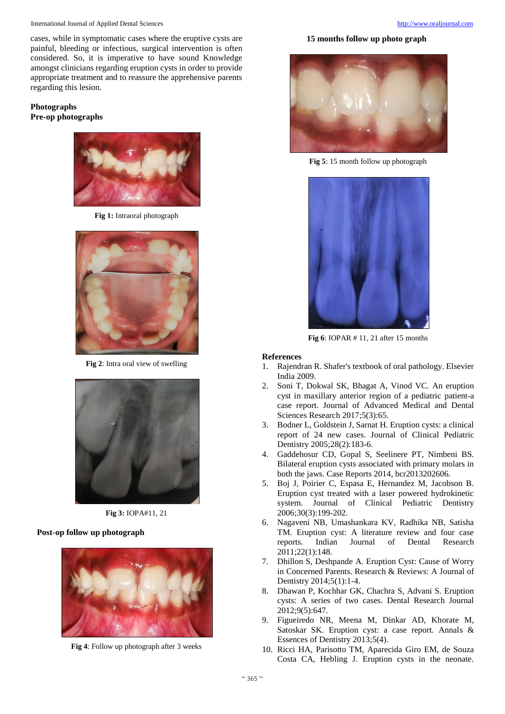International Journal of Applied Dental Sciences [http://www.oraljournal.com](http://www.oraljournal.com/)

cases, while in symptomatic cases where the eruptive cysts are painful, bleeding or infectious, surgical intervention is often considered. So, it is imperative to have sound Knowledge amongst clinicians regarding eruption cysts in order to provide appropriate treatment and to reassure the apprehensive parents regarding this lesion.

# **Photographs Pre-op photographs**



**Fig 1:** Intraoral photograph



**Fig 2**: Intra oral view of swelling



**Fig 3:** IOPA#11, 21

# **Post-op follow up photograph**



**Fig 4**: Follow up photograph after 3 weeks

# **15 months follow up photo graph**



**Fig 5**: 15 month follow up photograph



**Fig 6**: IOPAR # 11, 21 after 15 months

# **References**

- 1. Rajendran R. Shafer's textbook of oral pathology. Elsevier India 2009.
- 2. Soni T, Dokwal SK, Bhagat A, Vinod VC. An eruption cyst in maxillary anterior region of a pediatric patient-a case report. Journal of Advanced Medical and Dental Sciences Research 2017;5(3):65.
- 3. Bodner L, Goldstein J, Sarnat H. Eruption cysts: a clinical report of 24 new cases. Journal of Clinical Pediatric Dentistry 2005;28(2):183-6.
- 4. Gaddehosur CD, Gopal S, Seelinere PT, Nimbeni BS. Bilateral eruption cysts associated with primary molars in both the jaws. Case Reports 2014, bcr2013202606.
- 5. Boj J, Poirier C, Espasa E, Hernandez M, Jacobson B. Eruption cyst treated with a laser powered hydrokinetic system. Journal of Clinical Pediatric Dentistry 2006;30(3):199-202.
- 6. Nagaveni NB, Umashankara KV, Radhika NB, Satisha TM. Eruption cyst: A literature review and four case reports. Indian Journal of Dental Research 2011;22(1):148.
- 7. Dhillon S, Deshpande A. Eruption Cyst: Cause of Worry in Concerned Parents. Research & Reviews: A Journal of Dentistry 2014;5(1):1-4.
- 8. Dhawan P, Kochhar GK, Chachra S, Advani S. Eruption cysts: A series of two cases. Dental Research Journal 2012;9(5):647.
- 9. Figueiredo NR, Meena M, Dinkar AD, Khorate M, Satoskar SK. Eruption cyst: a case report. Annals & Essences of Dentistry 2013;5(4).
- 10. Ricci HA, Parisotto TM, Aparecida Giro EM, de Souza Costa CA, Hebling J. Eruption cysts in the neonate.